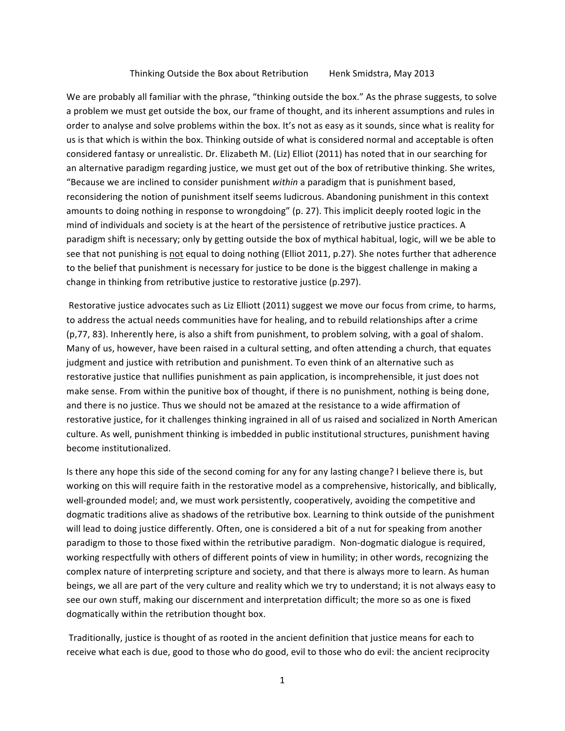## Thinking Outside the Box about Retribution Henk Smidstra, May 2013

We are probably all familiar with the phrase, "thinking outside the box." As the phrase suggests, to solve a problem we must get outside the box, our frame of thought, and its inherent assumptions and rules in order to analyse and solve problems within the box. It's not as easy as it sounds, since what is reality for us is that which is within the box. Thinking outside of what is considered normal and acceptable is often considered fantasy or unrealistic. Dr. Elizabeth M. (Liz) Elliot (2011) has noted that in our searching for an alternative paradigm regarding justice, we must get out of the box of retributive thinking. She writes, "Because we are inclined to consider punishment within a paradigm that is punishment based, reconsidering the notion of punishment itself seems ludicrous. Abandoning punishment in this context amounts to doing nothing in response to wrongdoing" (p. 27). This implicit deeply rooted logic in the mind of individuals and society is at the heart of the persistence of retributive justice practices. A paradigm shift is necessary; only by getting outside the box of mythical habitual, logic, will we be able to see that not punishing is not equal to doing nothing (Elliot 2011, p.27). She notes further that adherence to the belief that punishment is necessary for justice to be done is the biggest challenge in making a change in thinking from retributive justice to restorative justice (p.297).

Restorative justice advocates such as Liz Elliott (2011) suggest we move our focus from crime, to harms, to address the actual needs communities have for healing, and to rebuild relationships after a crime (p,77, 83). Inherently here, is also a shift from punishment, to problem solving, with a goal of shalom. Many of us, however, have been raised in a cultural setting, and often attending a church, that equates judgment and justice with retribution and punishment. To even think of an alternative such as restorative justice that nullifies punishment as pain application, is incomprehensible, it just does not make sense. From within the punitive box of thought, if there is no punishment, nothing is being done, and there is no justice. Thus we should not be amazed at the resistance to a wide affirmation of restorative justice, for it challenges thinking ingrained in all of us raised and socialized in North American culture. As well, punishment thinking is imbedded in public institutional structures, punishment having become institutionalized.

Is there any hope this side of the second coming for any for any lasting change? I believe there is, but working on this will require faith in the restorative model as a comprehensive, historically, and biblically, well-grounded model; and, we must work persistently, cooperatively, avoiding the competitive and dogmatic traditions alive as shadows of the retributive box. Learning to think outside of the punishment will lead to doing justice differently. Often, one is considered a bit of a nut for speaking from another paradigm to those to those fixed within the retributive paradigm. Non-dogmatic dialogue is required, working respectfully with others of different points of view in humility; in other words, recognizing the complex nature of interpreting scripture and society, and that there is always more to learn. As human beings, we all are part of the very culture and reality which we try to understand; it is not always easy to see our own stuff, making our discernment and interpretation difficult; the more so as one is fixed dogmatically within the retribution thought box.

Traditionally, justice is thought of as rooted in the ancient definition that justice means for each to receive what each is due, good to those who do good, evil to those who do evil: the ancient reciprocity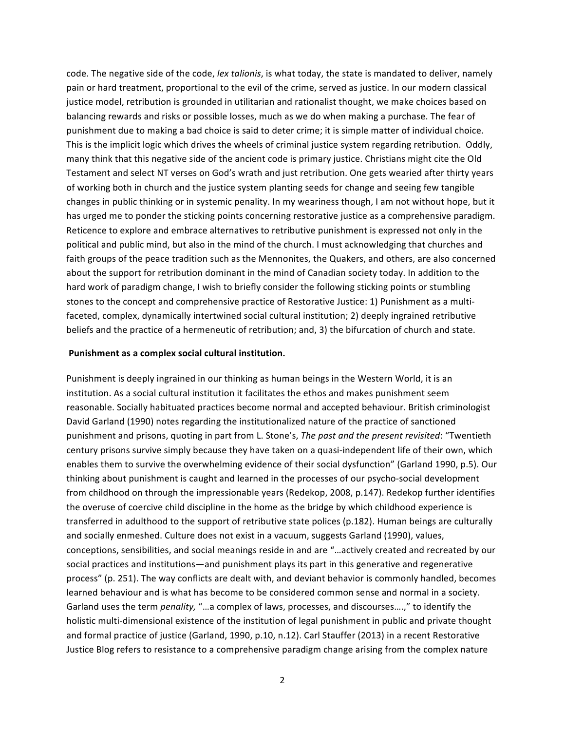code. The negative side of the code, lex talionis, is what today, the state is mandated to deliver, namely pain or hard treatment, proportional to the evil of the crime, served as justice. In our modern classical justice model, retribution is grounded in utilitarian and rationalist thought, we make choices based on balancing rewards and risks or possible losses, much as we do when making a purchase. The fear of punishment due to making a bad choice is said to deter crime; it is simple matter of individual choice. This is the implicit logic which drives the wheels of criminal justice system regarding retribution. Oddly, many think that this negative side of the ancient code is primary justice. Christians might cite the Old Testament and select NT verses on God's wrath and just retribution. One gets wearied after thirty years of working both in church and the justice system planting seeds for change and seeing few tangible changes in public thinking or in systemic penality. In my weariness though, I am not without hope, but it has urged me to ponder the sticking points concerning restorative justice as a comprehensive paradigm. Reticence to explore and embrace alternatives to retributive punishment is expressed not only in the political and public mind, but also in the mind of the church. I must acknowledging that churches and faith groups of the peace tradition such as the Mennonites, the Quakers, and others, are also concerned about the support for retribution dominant in the mind of Canadian society today. In addition to the hard work of paradigm change, I wish to briefly consider the following sticking points or stumbling stones to the concept and comprehensive practice of Restorative Justice: 1) Punishment as a multifaceted, complex, dynamically intertwined social cultural institution; 2) deeply ingrained retributive beliefs and the practice of a hermeneutic of retribution; and, 3) the bifurcation of church and state.

#### Punishment as a complex social cultural institution.

Punishment is deeply ingrained in our thinking as human beings in the Western World, it is an institution. As a social cultural institution it facilitates the ethos and makes punishment seem reasonable. Socially habituated practices become normal and accepted behaviour. British criminologist David Garland (1990) notes regarding the institutionalized nature of the practice of sanctioned punishment and prisons, quoting in part from L. Stone's, *The past and the present revisited*: "Twentieth century prisons survive simply because they have taken on a quasi-independent life of their own, which enables them to survive the overwhelming evidence of their social dysfunction" (Garland 1990, p.5). Our thinking about punishment is caught and learned in the processes of our psycho-social development from childhood on through the impressionable years (Redekop, 2008, p.147). Redekop further identifies the overuse of coercive child discipline in the home as the bridge by which childhood experience is transferred in adulthood to the support of retributive state polices (p.182). Human beings are culturally and socially enmeshed. Culture does not exist in a vacuum, suggests Garland (1990), values, conceptions, sensibilities, and social meanings reside in and are "...actively created and recreated by our social practices and institutions—and punishment plays its part in this generative and regenerative process" (p. 251). The way conflicts are dealt with, and deviant behavior is commonly handled, becomes learned behaviour and is what has become to be considered common sense and normal in a society. Garland uses the term *penality,* "...a complex of laws, processes, and discourses....," to identify the holistic multi-dimensional existence of the institution of legal punishment in public and private thought and formal practice of justice (Garland, 1990, p.10, n.12). Carl Stauffer (2013) in a recent Restorative Justice Blog refers to resistance to a comprehensive paradigm change arising from the complex nature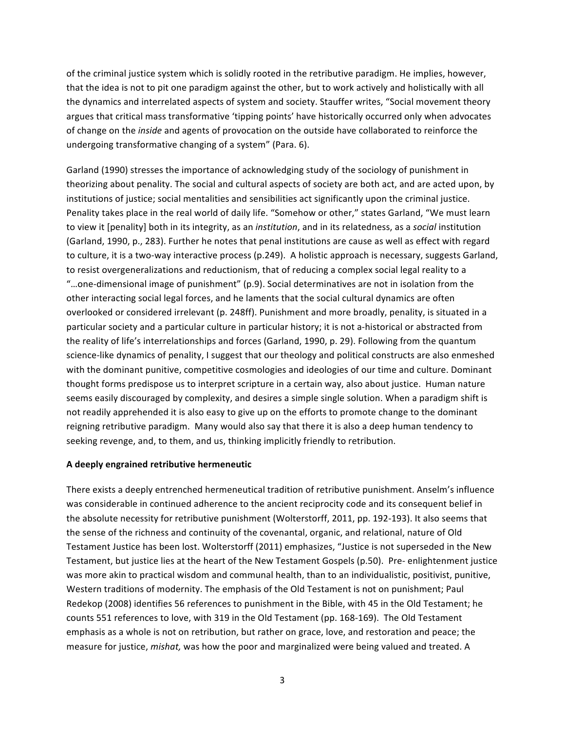of the criminal justice system which is solidly rooted in the retributive paradigm. He implies, however, that the idea is not to pit one paradigm against the other, but to work actively and holistically with all the dynamics and interrelated aspects of system and society. Stauffer writes, "Social movement theory argues that critical mass transformative 'tipping points' have historically occurred only when advocates of change on the *inside* and agents of provocation on the outside have collaborated to reinforce the undergoing transformative changing of a system" (Para. 6).

Garland (1990) stresses the importance of acknowledging study of the sociology of punishment in theorizing about penality. The social and cultural aspects of society are both act, and are acted upon, by institutions of justice; social mentalities and sensibilities act significantly upon the criminal justice. Penality takes place in the real world of daily life. "Somehow or other," states Garland, "We must learn to view it [penality] both in its integrity, as an *institution*, and in its relatedness, as a *social* institution (Garland, 1990, p., 283). Further he notes that penal institutions are cause as well as effect with regard to culture, it is a two-way interactive process (p.249). A holistic approach is necessary, suggests Garland, to resist overgeneralizations and reductionism, that of reducing a complex social legal reality to a "...one-dimensional image of punishment"  $(p.9)$ . Social determinatives are not in isolation from the other interacting social legal forces, and he laments that the social cultural dynamics are often overlooked or considered irrelevant (p. 248ff). Punishment and more broadly, penality, is situated in a particular society and a particular culture in particular history; it is not a-historical or abstracted from the reality of life's interrelationships and forces (Garland, 1990, p. 29). Following from the quantum science-like dynamics of penality, I suggest that our theology and political constructs are also enmeshed with the dominant punitive, competitive cosmologies and ideologies of our time and culture. Dominant thought forms predispose us to interpret scripture in a certain way, also about justice. Human nature seems easily discouraged by complexity, and desires a simple single solution. When a paradigm shift is not readily apprehended it is also easy to give up on the efforts to promote change to the dominant reigning retributive paradigm. Many would also say that there it is also a deep human tendency to seeking revenge, and, to them, and us, thinking implicitly friendly to retribution.

# **A deeply engrained retributive hermeneutic**

There exists a deeply entrenched hermeneutical tradition of retributive punishment. Anselm's influence was considerable in continued adherence to the ancient reciprocity code and its consequent belief in the absolute necessity for retributive punishment (Wolterstorff, 2011, pp. 192-193). It also seems that the sense of the richness and continuity of the covenantal, organic, and relational, nature of Old Testament Justice has been lost. Wolterstorff (2011) emphasizes, "Justice is not superseded in the New Testament, but justice lies at the heart of the New Testament Gospels (p.50). Pre- enlightenment justice was more akin to practical wisdom and communal health, than to an individualistic, positivist, punitive, Western traditions of modernity. The emphasis of the Old Testament is not on punishment; Paul Redekop (2008) identifies 56 references to punishment in the Bible, with 45 in the Old Testament; he counts 551 references to love, with 319 in the Old Testament (pp. 168-169). The Old Testament emphasis as a whole is not on retribution, but rather on grace, love, and restoration and peace; the measure for justice, *mishat*, was how the poor and marginalized were being valued and treated. A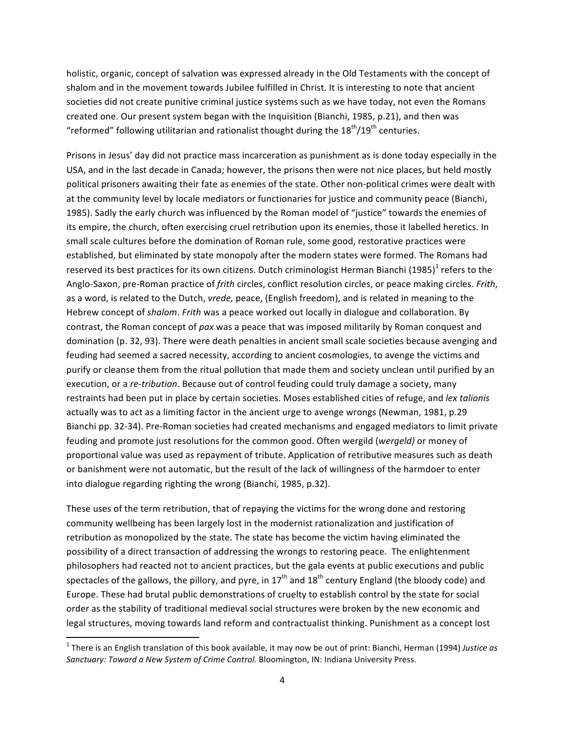holistic, organic, concept of salvation was expressed already in the Old Testaments with the concept of shalom and in the movement towards Jubilee fulfilled in Christ. It is interesting to note that ancient societies did not create punitive criminal justice systems such as we have today, not even the Romans created one. Our present system began with the Inquisition (Bianchi, 1985, p.21), and then was "reformed" following utilitarian and rationalist thought during the  $18^{th}/19^{th}$  centuries.

Prisons in Jesus' day did not practice mass incarceration as punishment as is done today especially in the USA, and in the last decade in Canada; however, the prisons then were not nice places, but held mostly political prisoners awaiting their fate as enemies of the state. Other non-political crimes were dealt with at the community level by locale mediators or functionaries for justice and community peace (Bianchi, 1985). Sadly the early church was influenced by the Roman model of "justice" towards the enemies of its empire, the church, often exercising cruel retribution upon its enemies, those it labelled heretics. In small scale cultures before the domination of Roman rule, some good, restorative practices were established, but eliminated by state monopoly after the modern states were formed. The Romans had reserved its best practices for its own citizens. Dutch criminologist Herman Bianchi (1985)<sup>1</sup> refers to the Anglo-Saxon, pre-Roman practice of *frith* circles, conflict resolution circles, or peace making circles. *Frith*, as a word, is related to the Dutch, *vrede*, peace, (English freedom), and is related in meaning to the Hebrew concept of *shalom*. *Frith* was a peace worked out locally in dialogue and collaboration. By contrast, the Roman concept of pax was a peace that was imposed militarily by Roman conquest and domination (p. 32, 93). There were death penalties in ancient small scale societies because avenging and feuding had seemed a sacred necessity, according to ancient cosmologies, to avenge the victims and purify or cleanse them from the ritual pollution that made them and society unclean until purified by an execution, or a *re-tribution*. Because out of control feuding could truly damage a society, many restraints had been put in place by certain societies. Moses established cities of refuge, and lex talionis actually was to act as a limiting factor in the ancient urge to avenge wrongs (Newman, 1981, p.29 Bianchi pp. 32-34). Pre-Roman societies had created mechanisms and engaged mediators to limit private feuding and promote just resolutions for the common good. Often wergild (wergeld) or money of proportional value was used as repayment of tribute. Application of retributive measures such as death or banishment were not automatic, but the result of the lack of willingness of the harmdoer to enter into dialogue regarding righting the wrong (Bianchi, 1985, p.32).

These uses of the term retribution, that of repaying the victims for the wrong done and restoring community wellbeing has been largely lost in the modernist rationalization and justification of retribution as monopolized by the state. The state has become the victim having eliminated the possibility of a direct transaction of addressing the wrongs to restoring peace. The enlightenment philosophers had reacted not to ancient practices, but the gala events at public executions and public spectacles of the gallows, the pillory, and pyre, in  $17<sup>th</sup>$  and  $18<sup>th</sup>$  century England (the bloody code) and Europe. These had brutal public demonstrations of cruelty to establish control by the state for social order as the stability of traditional medieval social structures were broken by the new economic and legal structures, moving towards land reform and contractualist thinking. Punishment as a concept lost

<u> 1989 - Johann Stein, fransk politik (d. 1989)</u>

 $<sup>1</sup>$  There is an English translation of this book available, it may now be out of print: Bianchi, Herman (1994) *Justice as*</sup> Sanctuary: Toward a New System of Crime Control. Bloomington, IN: Indiana University Press.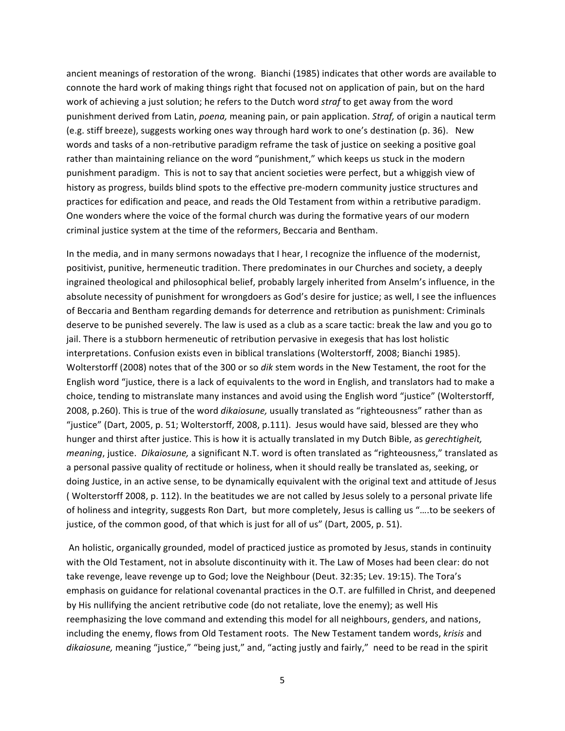ancient meanings of restoration of the wrong. Bianchi (1985) indicates that other words are available to connote the hard work of making things right that focused not on application of pain, but on the hard work of achieving a just solution; he refers to the Dutch word *straf* to get away from the word punishment derived from Latin, *poena*, meaning pain, or pain application. *Straf*, of origin a nautical term (e.g. stiff breeze), suggests working ones way through hard work to one's destination (p. 36). New words and tasks of a non-retributive paradigm reframe the task of justice on seeking a positive goal rather than maintaining reliance on the word "punishment," which keeps us stuck in the modern punishment paradigm. This is not to say that ancient societies were perfect, but a whiggish view of history as progress, builds blind spots to the effective pre-modern community justice structures and practices for edification and peace, and reads the Old Testament from within a retributive paradigm. One wonders where the voice of the formal church was during the formative years of our modern criminal justice system at the time of the reformers, Beccaria and Bentham.

In the media, and in many sermons nowadays that I hear, I recognize the influence of the modernist, positivist, punitive, hermeneutic tradition. There predominates in our Churches and society, a deeply ingrained theological and philosophical belief, probably largely inherited from Anselm's influence, in the absolute necessity of punishment for wrongdoers as God's desire for justice; as well, I see the influences of Beccaria and Bentham regarding demands for deterrence and retribution as punishment: Criminals deserve to be punished severely. The law is used as a club as a scare tactic: break the law and you go to jail. There is a stubborn hermeneutic of retribution pervasive in exegesis that has lost holistic interpretations. Confusion exists even in biblical translations (Wolterstorff, 2008; Bianchi 1985). Wolterstorff (2008) notes that of the 300 or so *dik* stem words in the New Testament, the root for the English word "justice, there is a lack of equivalents to the word in English, and translators had to make a choice, tending to mistranslate many instances and avoid using the English word "justice" (Wolterstorff, 2008, p.260). This is true of the word *dikaiosune*, usually translated as "righteousness" rather than as "justice" (Dart, 2005, p. 51; Wolterstorff, 2008, p.111). Jesus would have said, blessed are they who hunger and thirst after justice. This is how it is actually translated in my Dutch Bible, as *gerechtigheit*, *meaning*, justice. *Dikaiosune*, a significant N.T. word is often translated as "righteousness," translated as a personal passive quality of rectitude or holiness, when it should really be translated as, seeking, or doing Justice, in an active sense, to be dynamically equivalent with the original text and attitude of Jesus ( Wolterstorff 2008, p. 112). In the beatitudes we are not called by Jesus solely to a personal private life of holiness and integrity, suggests Ron Dart, but more completely, Jesus is calling us "....to be seekers of justice, of the common good, of that which is just for all of us" (Dart, 2005, p. 51).

An holistic, organically grounded, model of practiced justice as promoted by Jesus, stands in continuity with the Old Testament, not in absolute discontinuity with it. The Law of Moses had been clear: do not take revenge, leave revenge up to God; love the Neighbour (Deut. 32:35; Lev. 19:15). The Tora's emphasis on guidance for relational covenantal practices in the O.T. are fulfilled in Christ, and deepened by His nullifying the ancient retributive code (do not retaliate, love the enemy); as well His reemphasizing the love command and extending this model for all neighbours, genders, and nations, including the enemy, flows from Old Testament roots. The New Testament tandem words, krisis and dikaiosune, meaning "justice," "being just," and, "acting justly and fairly," need to be read in the spirit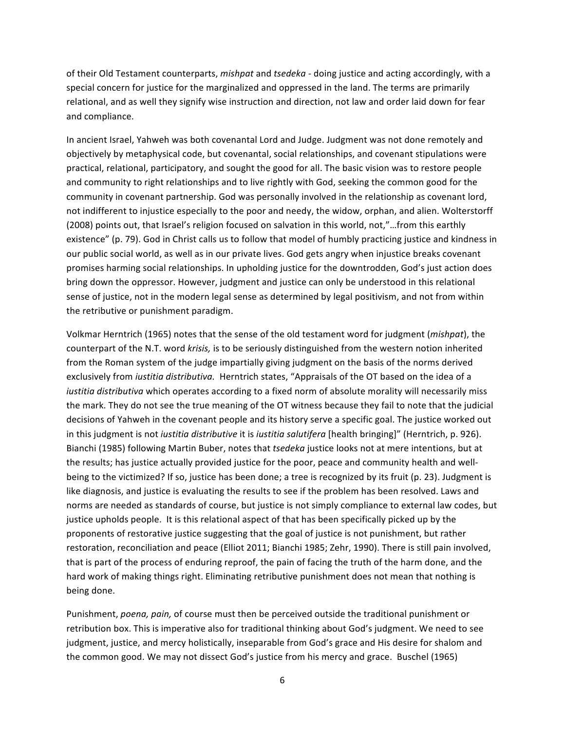of their Old Testament counterparts, *mishpat* and *tsedeka* - doing justice and acting accordingly, with a special concern for justice for the marginalized and oppressed in the land. The terms are primarily relational, and as well they signify wise instruction and direction, not law and order laid down for fear and compliance.

In ancient Israel, Yahweh was both covenantal Lord and Judge. Judgment was not done remotely and objectively by metaphysical code, but covenantal, social relationships, and covenant stipulations were practical, relational, participatory, and sought the good for all. The basic vision was to restore people and community to right relationships and to live rightly with God, seeking the common good for the community in covenant partnership. God was personally involved in the relationship as covenant lord, not indifferent to injustice especially to the poor and needy, the widow, orphan, and alien. Wolterstorff (2008) points out, that Israel's religion focused on salvation in this world, not,"...from this earthly existence" (p. 79). God in Christ calls us to follow that model of humbly practicing justice and kindness in our public social world, as well as in our private lives. God gets angry when injustice breaks covenant promises harming social relationships. In upholding justice for the downtrodden, God's just action does bring down the oppressor. However, judgment and justice can only be understood in this relational sense of justice, not in the modern legal sense as determined by legal positivism, and not from within the retributive or punishment paradigm.

Volkmar Herntrich (1965) notes that the sense of the old testament word for judgment (*mishpat*), the counterpart of the N.T. word *krisis*, is to be seriously distinguished from the western notion inherited from the Roman system of the judge impartially giving judgment on the basis of the norms derived exclusively from *iustitia distributiva*. Herntrich states, "Appraisals of the OT based on the idea of a *iustitia distributiva* which operates according to a fixed norm of absolute morality will necessarily miss the mark. They do not see the true meaning of the OT witness because they fail to note that the judicial decisions of Yahweh in the covenant people and its history serve a specific goal. The justice worked out in this judgment is not *iustitia distributive* it is *iustitia salutifera* [health bringing]" (Herntrich, p. 926). Bianchi (1985) following Martin Buber, notes that *tsedeka* justice looks not at mere intentions, but at the results; has justice actually provided justice for the poor, peace and community health and wellbeing to the victimized? If so, justice has been done; a tree is recognized by its fruit (p. 23). Judgment is like diagnosis, and justice is evaluating the results to see if the problem has been resolved. Laws and norms are needed as standards of course, but justice is not simply compliance to external law codes, but justice upholds people. It is this relational aspect of that has been specifically picked up by the proponents of restorative justice suggesting that the goal of justice is not punishment, but rather restoration, reconciliation and peace (Elliot 2011; Bianchi 1985; Zehr, 1990). There is still pain involved, that is part of the process of enduring reproof, the pain of facing the truth of the harm done, and the hard work of making things right. Eliminating retributive punishment does not mean that nothing is being done.

Punishment, *poena*, pain, of course must then be perceived outside the traditional punishment or retribution box. This is imperative also for traditional thinking about God's judgment. We need to see judgment, justice, and mercy holistically, inseparable from God's grace and His desire for shalom and the common good. We may not dissect God's justice from his mercy and grace. Buschel (1965)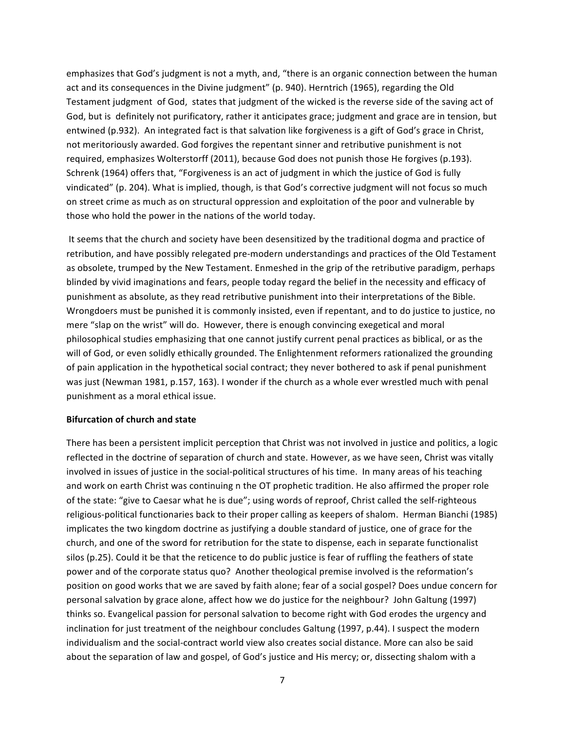emphasizes that God's judgment is not a myth, and, "there is an organic connection between the human act and its consequences in the Divine judgment" (p. 940). Herntrich (1965), regarding the Old Testament judgment of God, states that judgment of the wicked is the reverse side of the saving act of God, but is definitely not purificatory, rather it anticipates grace; judgment and grace are in tension, but entwined (p.932). An integrated fact is that salvation like forgiveness is a gift of God's grace in Christ, not meritoriously awarded. God forgives the repentant sinner and retributive punishment is not required, emphasizes Wolterstorff (2011), because God does not punish those He forgives (p.193). Schrenk (1964) offers that, "Forgiveness is an act of judgment in which the justice of God is fully vindicated" (p. 204). What is implied, though, is that God's corrective judgment will not focus so much on street crime as much as on structural oppression and exploitation of the poor and vulnerable by those who hold the power in the nations of the world today.

It seems that the church and society have been desensitized by the traditional dogma and practice of retribution, and have possibly relegated pre-modern understandings and practices of the Old Testament as obsolete, trumped by the New Testament. Enmeshed in the grip of the retributive paradigm, perhaps blinded by vivid imaginations and fears, people today regard the belief in the necessity and efficacy of punishment as absolute, as they read retributive punishment into their interpretations of the Bible. Wrongdoers must be punished it is commonly insisted, even if repentant, and to do justice to justice, no mere "slap on the wrist" will do. However, there is enough convincing exegetical and moral philosophical studies emphasizing that one cannot justify current penal practices as biblical, or as the will of God, or even solidly ethically grounded. The Enlightenment reformers rationalized the grounding of pain application in the hypothetical social contract; they never bothered to ask if penal punishment was just (Newman 1981, p.157, 163). I wonder if the church as a whole ever wrestled much with penal punishment as a moral ethical issue.

## **Bifurcation of church and state**

There has been a persistent implicit perception that Christ was not involved in justice and politics, a logic reflected in the doctrine of separation of church and state. However, as we have seen, Christ was vitally involved in issues of justice in the social-political structures of his time. In many areas of his teaching and work on earth Christ was continuing n the OT prophetic tradition. He also affirmed the proper role of the state: "give to Caesar what he is due"; using words of reproof, Christ called the self-righteous religious-political functionaries back to their proper calling as keepers of shalom. Herman Bianchi (1985) implicates the two kingdom doctrine as justifying a double standard of justice, one of grace for the church, and one of the sword for retribution for the state to dispense, each in separate functionalist silos  $(p.25)$ . Could it be that the reticence to do public justice is fear of ruffling the feathers of state power and of the corporate status quo? Another theological premise involved is the reformation's position on good works that we are saved by faith alone; fear of a social gospel? Does undue concern for personal salvation by grace alone, affect how we do justice for the neighbour? John Galtung (1997) thinks so. Evangelical passion for personal salvation to become right with God erodes the urgency and inclination for just treatment of the neighbour concludes Galtung (1997, p.44). I suspect the modern individualism and the social-contract world view also creates social distance. More can also be said about the separation of law and gospel, of God's justice and His mercy; or, dissecting shalom with a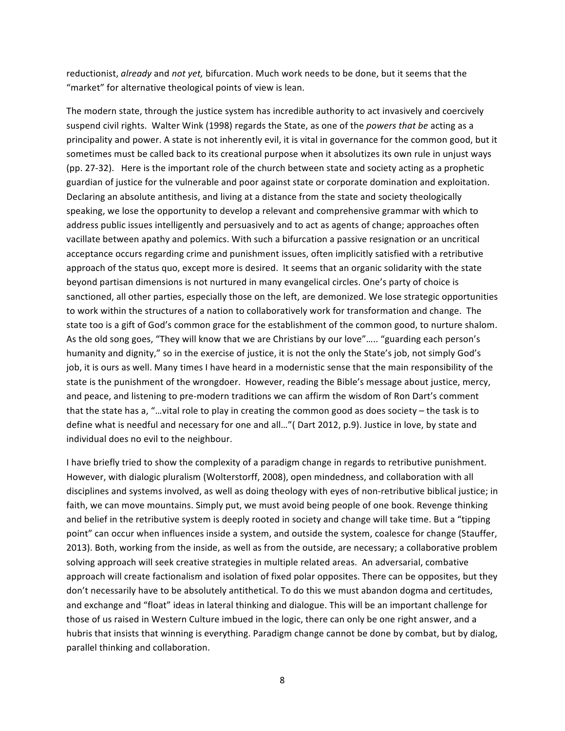reductionist, *already* and *not yet*, bifurcation. Much work needs to be done, but it seems that the "market" for alternative theological points of view is lean.

The modern state, through the justice system has incredible authority to act invasively and coercively suspend civil rights. Walter Wink (1998) regards the State, as one of the *powers that be* acting as a principality and power. A state is not inherently evil, it is vital in governance for the common good, but it sometimes must be called back to its creational purpose when it absolutizes its own rule in unjust ways (pp. 27-32). Here is the important role of the church between state and society acting as a prophetic guardian of justice for the vulnerable and poor against state or corporate domination and exploitation. Declaring an absolute antithesis, and living at a distance from the state and society theologically speaking, we lose the opportunity to develop a relevant and comprehensive grammar with which to address public issues intelligently and persuasively and to act as agents of change; approaches often vacillate between apathy and polemics. With such a bifurcation a passive resignation or an uncritical acceptance occurs regarding crime and punishment issues, often implicitly satisfied with a retributive approach of the status quo, except more is desired. It seems that an organic solidarity with the state beyond partisan dimensions is not nurtured in many evangelical circles. One's party of choice is sanctioned, all other parties, especially those on the left, are demonized. We lose strategic opportunities to work within the structures of a nation to collaboratively work for transformation and change. The state too is a gift of God's common grace for the establishment of the common good, to nurture shalom. As the old song goes, "They will know that we are Christians by our love"..... "guarding each person's humanity and dignity," so in the exercise of justice, it is not the only the State's job, not simply God's job, it is ours as well. Many times I have heard in a modernistic sense that the main responsibility of the state is the punishment of the wrongdoer. However, reading the Bible's message about justice, mercy, and peace, and listening to pre-modern traditions we can affirm the wisdom of Ron Dart's comment that the state has a, "...vital role to play in creating the common good as does society – the task is to define what is needful and necessary for one and all..."( Dart 2012, p.9). Justice in love, by state and individual does no evil to the neighbour.

I have briefly tried to show the complexity of a paradigm change in regards to retributive punishment. However, with dialogic pluralism (Wolterstorff, 2008), open mindedness, and collaboration with all disciplines and systems involved, as well as doing theology with eyes of non-retributive biblical justice; in faith, we can move mountains. Simply put, we must avoid being people of one book. Revenge thinking and belief in the retributive system is deeply rooted in society and change will take time. But a "tipping point" can occur when influences inside a system, and outside the system, coalesce for change (Stauffer, 2013). Both, working from the inside, as well as from the outside, are necessary; a collaborative problem solving approach will seek creative strategies in multiple related areas. An adversarial, combative approach will create factionalism and isolation of fixed polar opposites. There can be opposites, but they don't necessarily have to be absolutely antithetical. To do this we must abandon dogma and certitudes, and exchange and "float" ideas in lateral thinking and dialogue. This will be an important challenge for those of us raised in Western Culture imbued in the logic, there can only be one right answer, and a hubris that insists that winning is everything. Paradigm change cannot be done by combat, but by dialog, parallel thinking and collaboration.